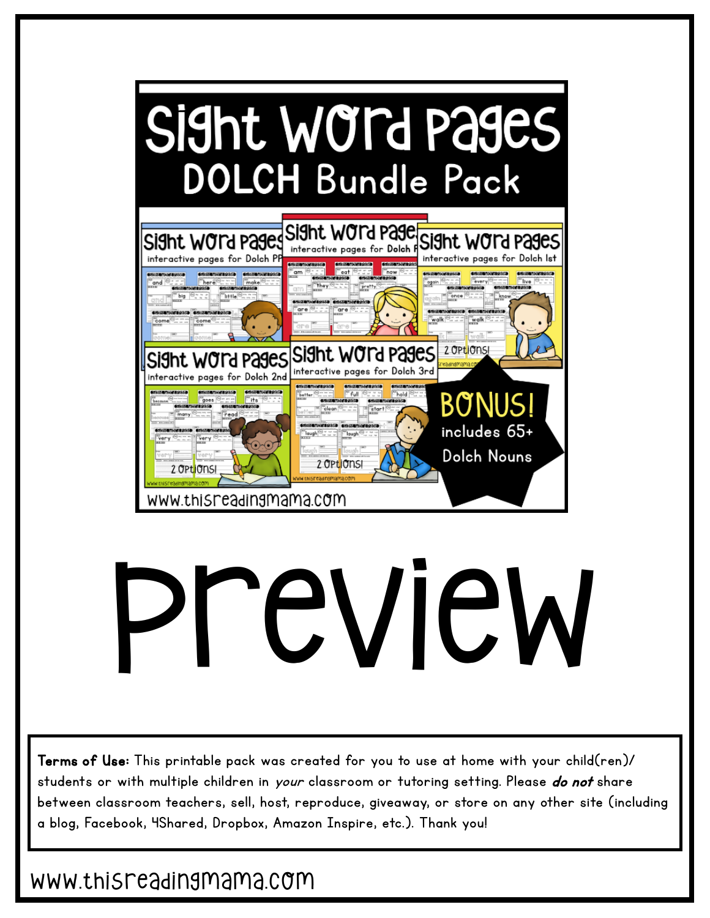

# review

Terms of Use: This printable pack was created for you to use at home with your child(ren)/ students or with multiple children in your classroom or tutoring setting. Please do not share between classroom teachers, sell, host, reproduce, giveaway, or store on any other site (including a blog, Facebook, 4Shared, Dropbox, Amazon Inspire, etc.). Thank you!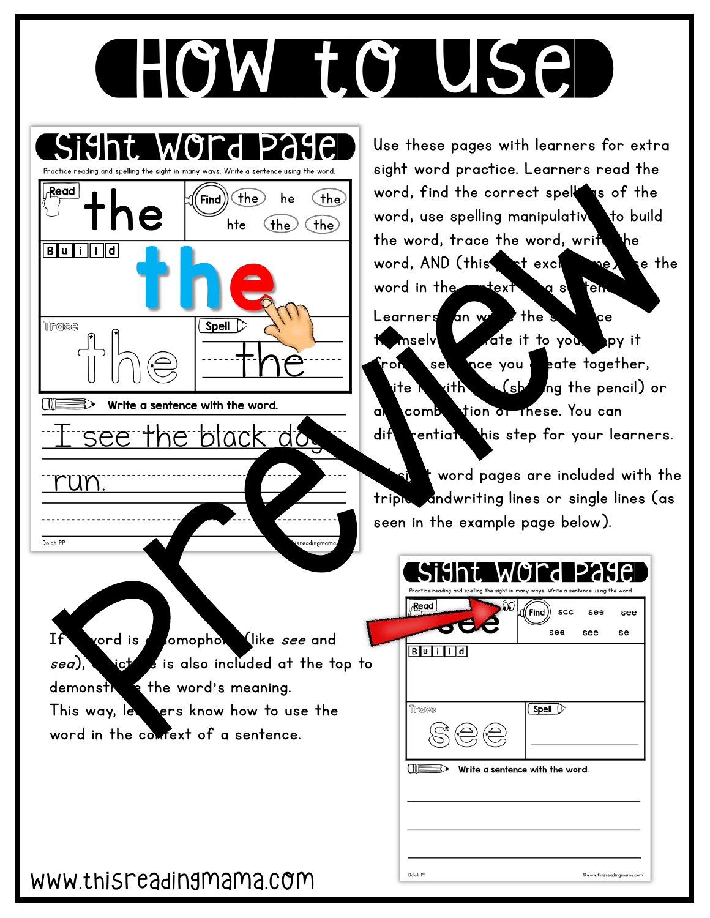#### EHOW TO USE



If yord is comophon (like see and sea), a ict is also included at the top to demonstrate the word's meaning. This way, learners know how to use the word in the context of a sentence.

Use these pages with learners for extra sight word practice. Learners read the word, find the correct spellings of the word, use spelling manipulative to build the word, trace the word, writh the word,  $AND$  (this part excitence) by the word in the text of a settlem Learners an with the sentence the mselves of the it to you, apy it irom sen nce you eate together, with  $\left($ sharing the pencil) or an combination of these. You can dif rentiate his step for your learners.

 $\mathbf s$  tword pages are included with the triple handwriting lines or single lines (as seen in the example page below).

| Read            | ဢ                               | Find<br>see | scc<br>see<br>see | see<br>se |
|-----------------|---------------------------------|-------------|-------------------|-----------|
| i.<br>lu l<br>B | d                               |             |                   |           |
| Troce           |                                 | Spell       |                   |           |
|                 |                                 |             |                   |           |
| - 00            | Write a sentence with the word. |             |                   |           |
|                 |                                 |             |                   |           |
|                 |                                 |             |                   |           |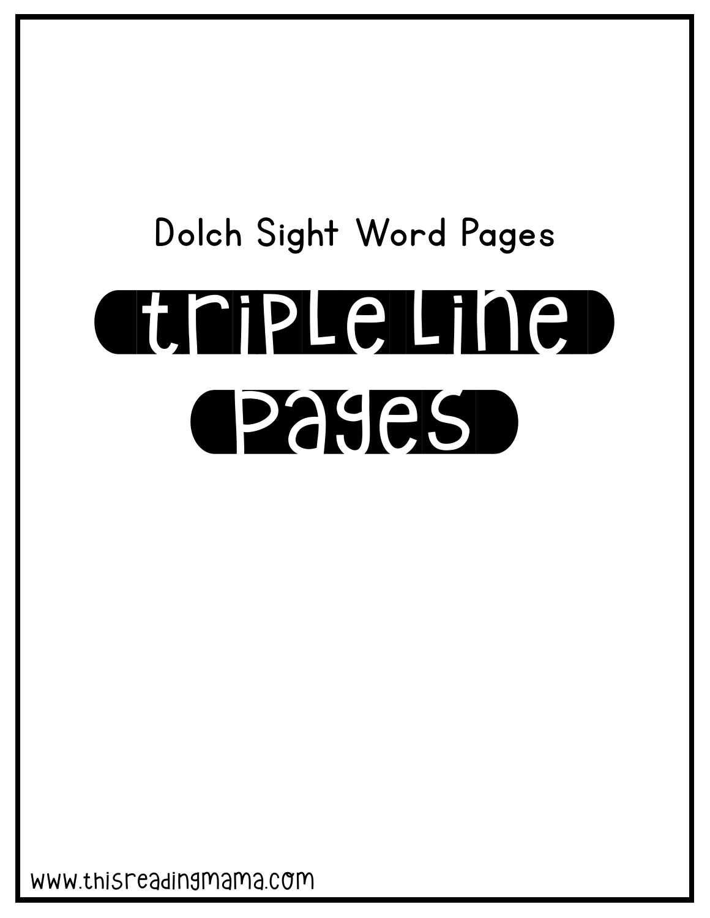# {=triple=line=} {=Pages=} Dolch Sight Word Pages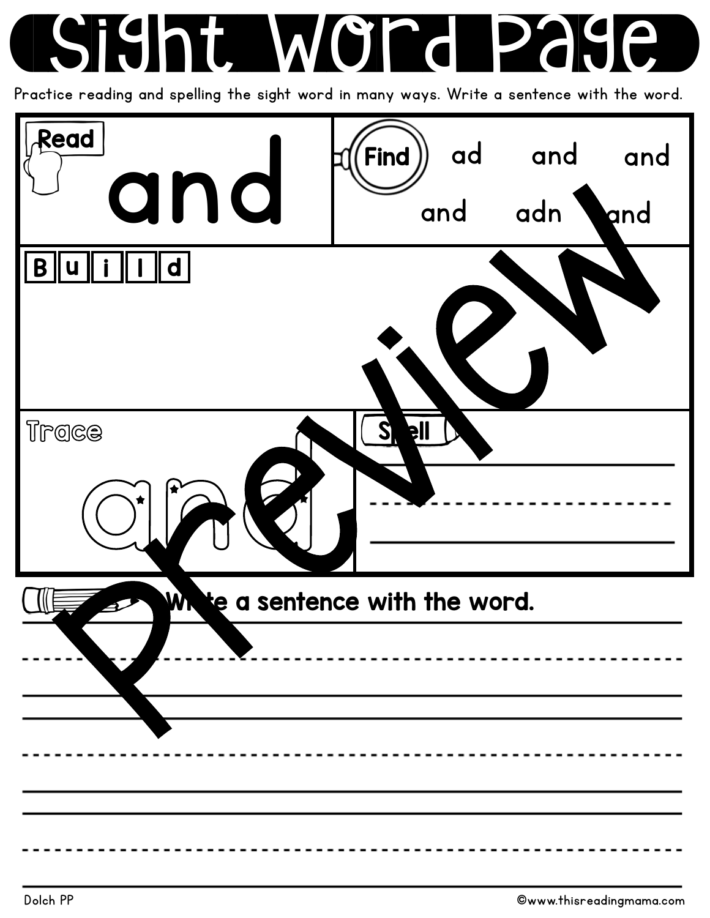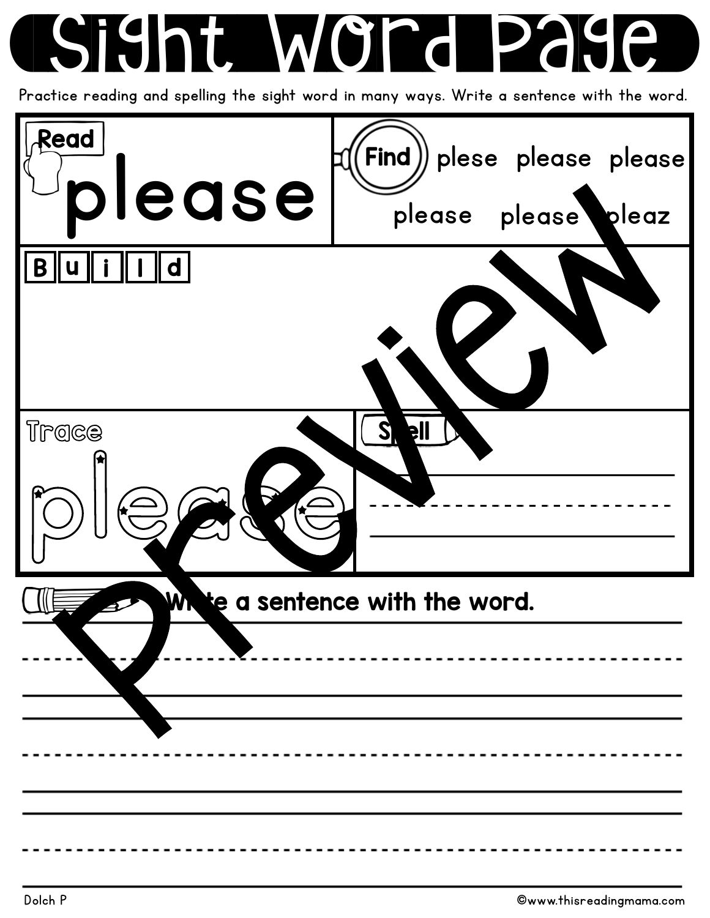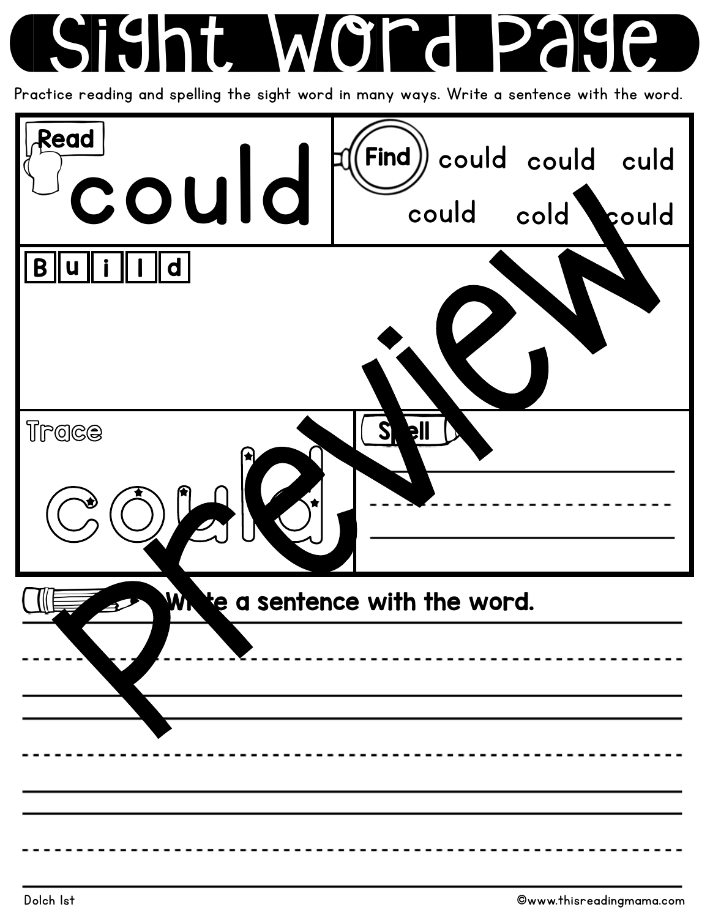

| Read<br>could | $\left(\textsf{Find}\right)$ could could culd<br>cold<br>could<br>could |
|---------------|-------------------------------------------------------------------------|
| d<br>B        |                                                                         |
| Trace         | $S_{\mathsf{N}}$<br>ell                                                 |
|               | Write a sentence with the word.                                         |
|               |                                                                         |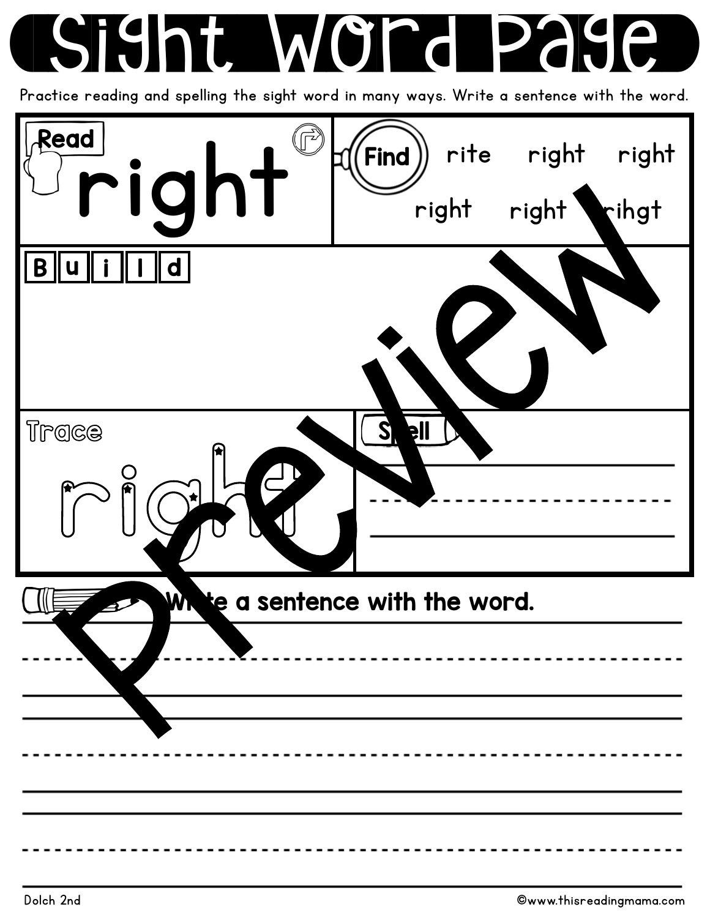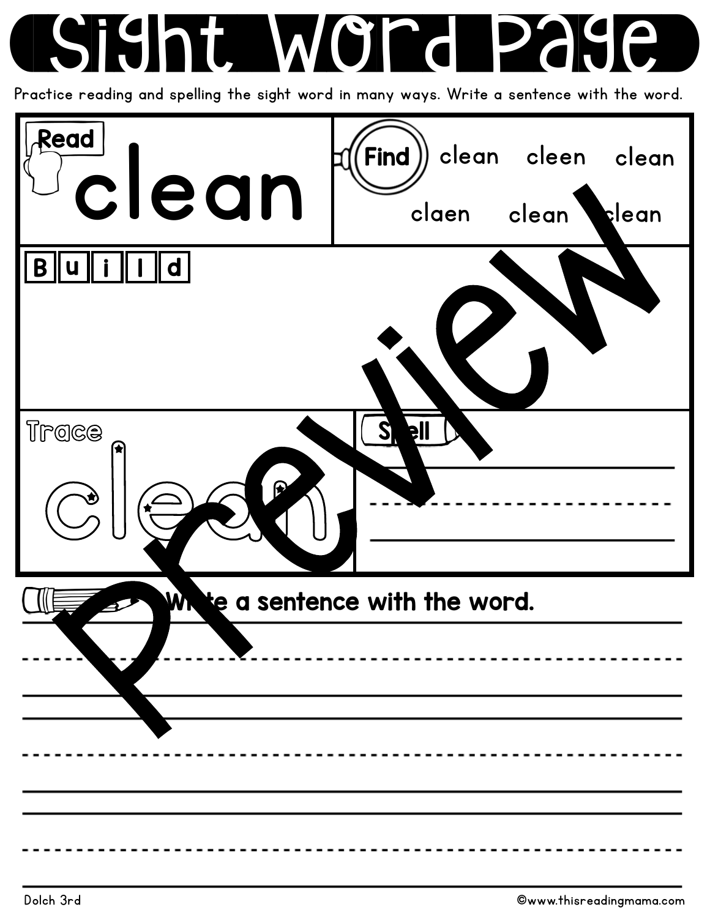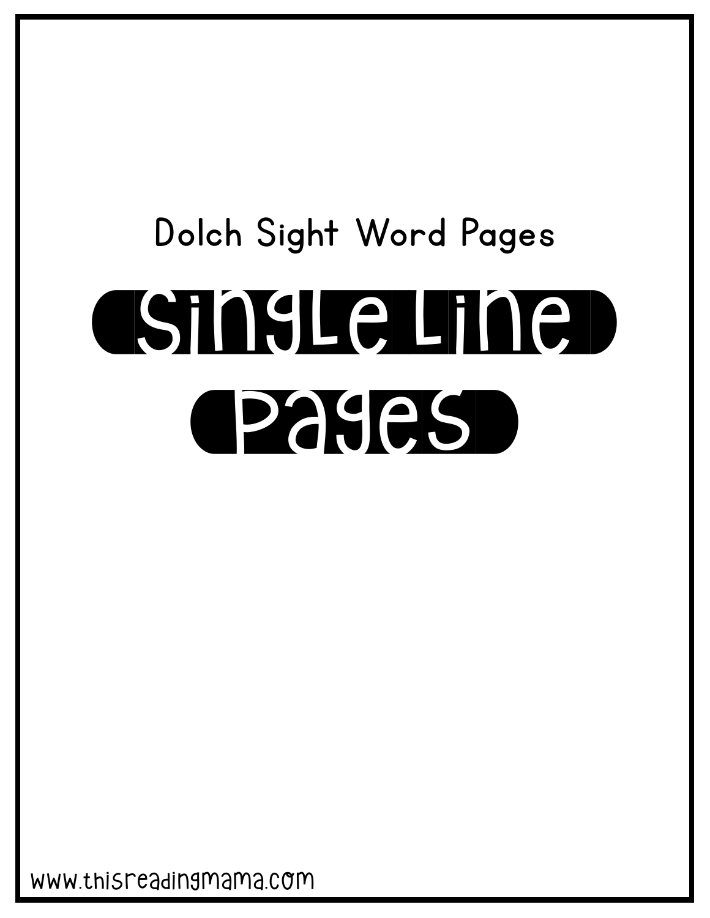# {=Single=line=} {=Pages=} Dolch Sight Word Pages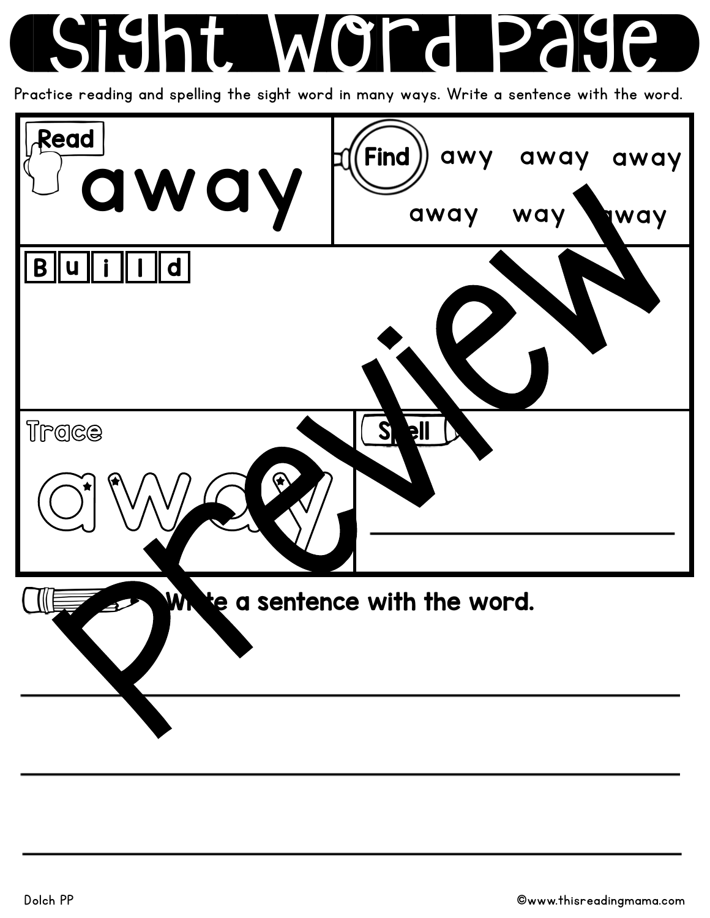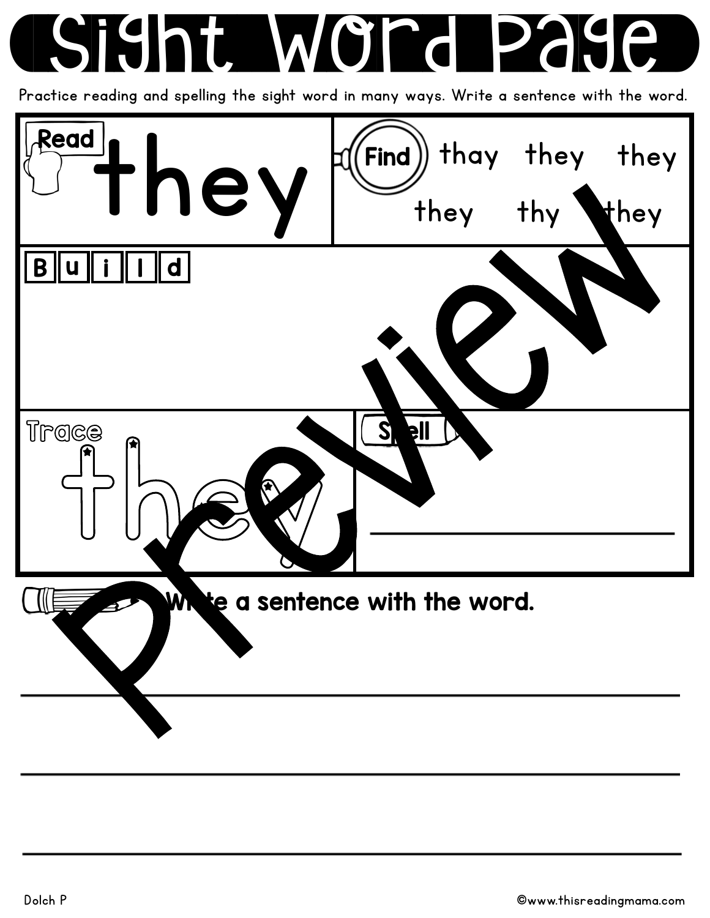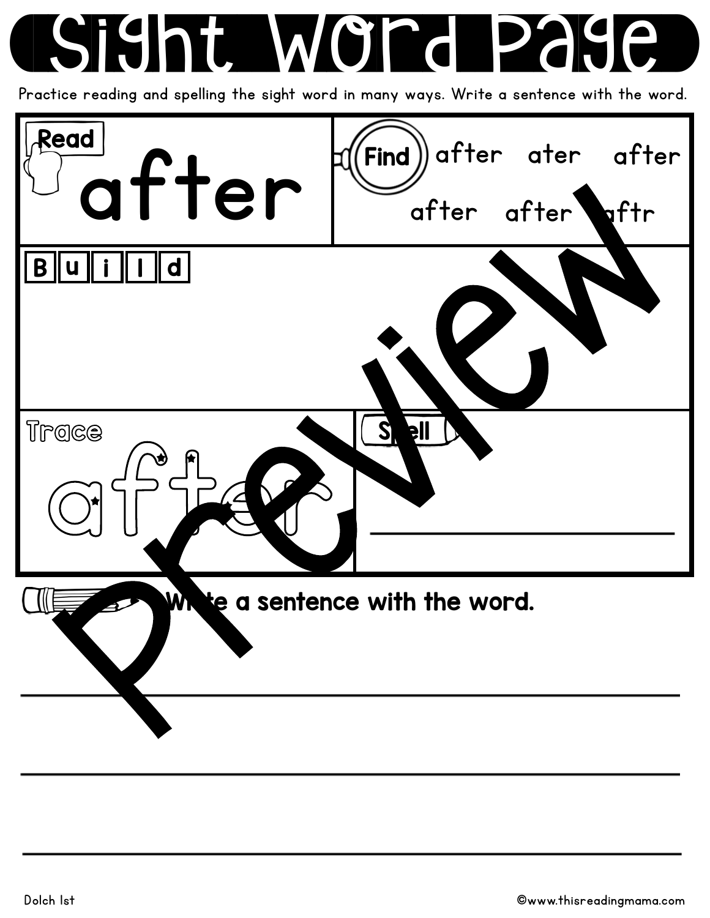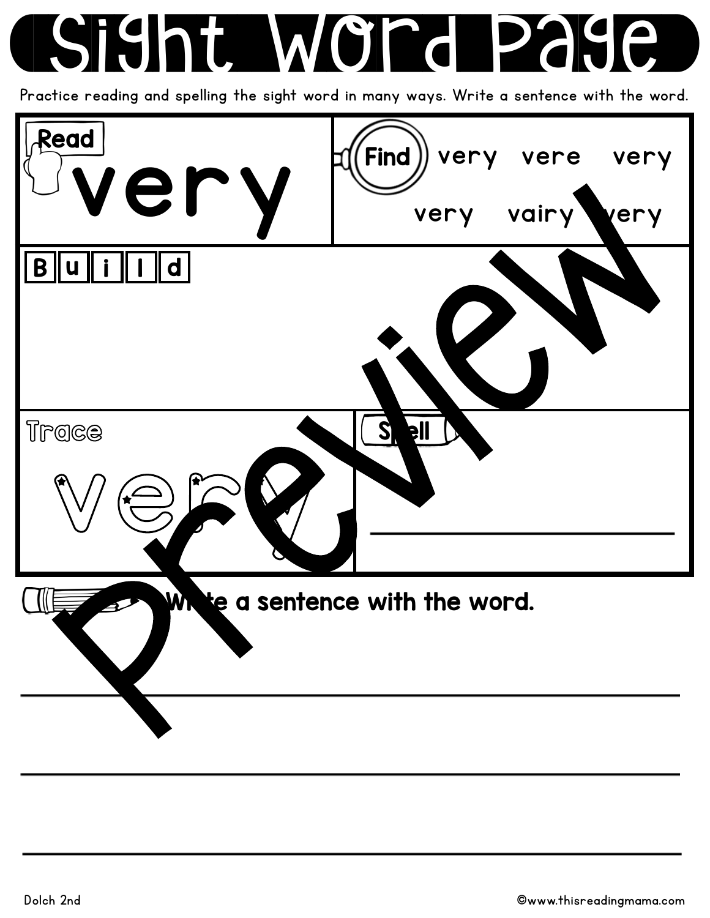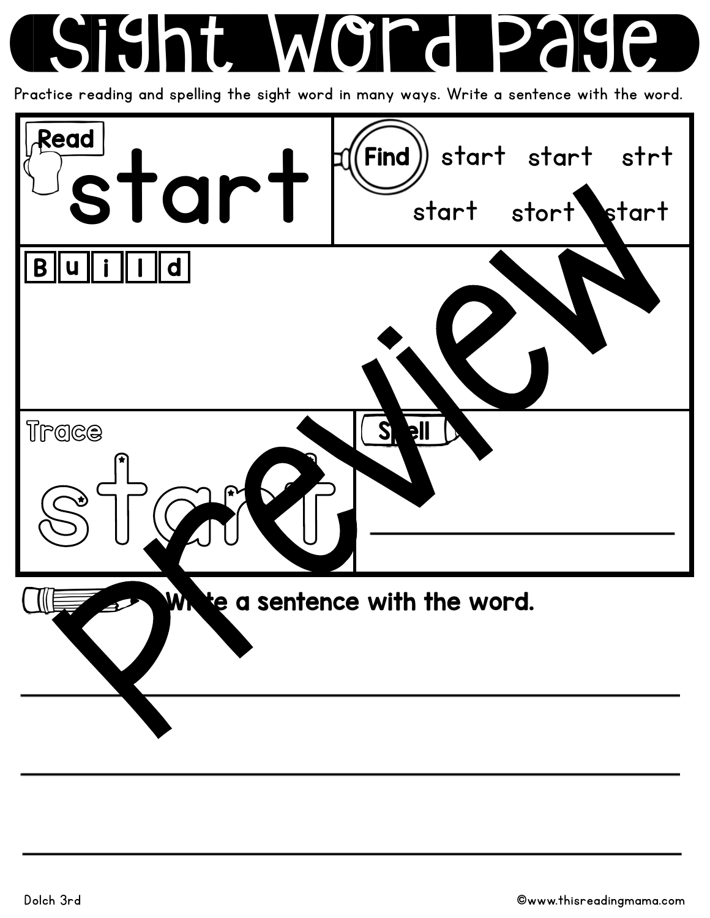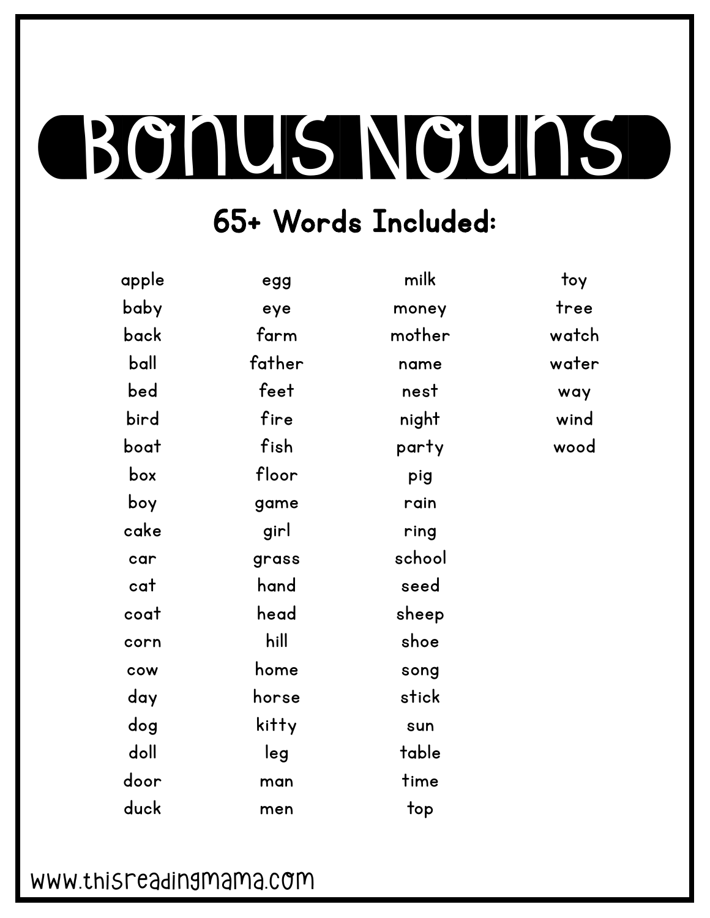# {=BONUS NOUNS

#### 65+ Words Included:

| apple | egg    | milk   | toy   |
|-------|--------|--------|-------|
| baby  | eye    | money  | tree  |
| back  | farm   | mother | watch |
| ball  | father | name   | water |
| bed   | feet   | nest   | way   |
| bird  | fire   | night  | wind  |
| boat  | fish   | party  | wood  |
| box   | floor  | pig    |       |
| boy   | game   | rain   |       |
| cake  | girl   | ring   |       |
| car   | grass  | school |       |
| cat   | hand   | seed   |       |
| coat  | head   | sheep  |       |
| corn  | hill   | shoe   |       |
| cow   | home   | song   |       |
| day   | horse  | stick  |       |
| dog   | kitty  | sun    |       |
| doll  | leg    | table  |       |
| door  | man    | time   |       |
| duck  | men    | top    |       |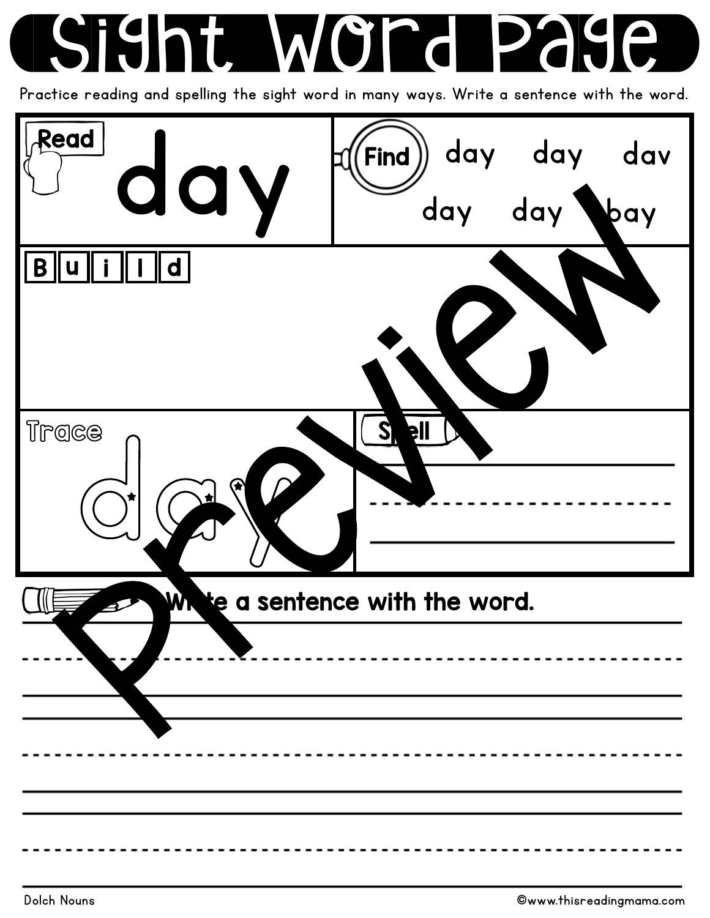

| Read<br>day | Find<br>day                     | day day dav<br>day | фау |
|-------------|---------------------------------|--------------------|-----|
| d<br>B      |                                 |                    |     |
| $ $ Trace   | $S_{\mathbf{k}}$<br>ell         |                    |     |
|             | Write a sentence with the word. |                    |     |
|             |                                 |                    |     |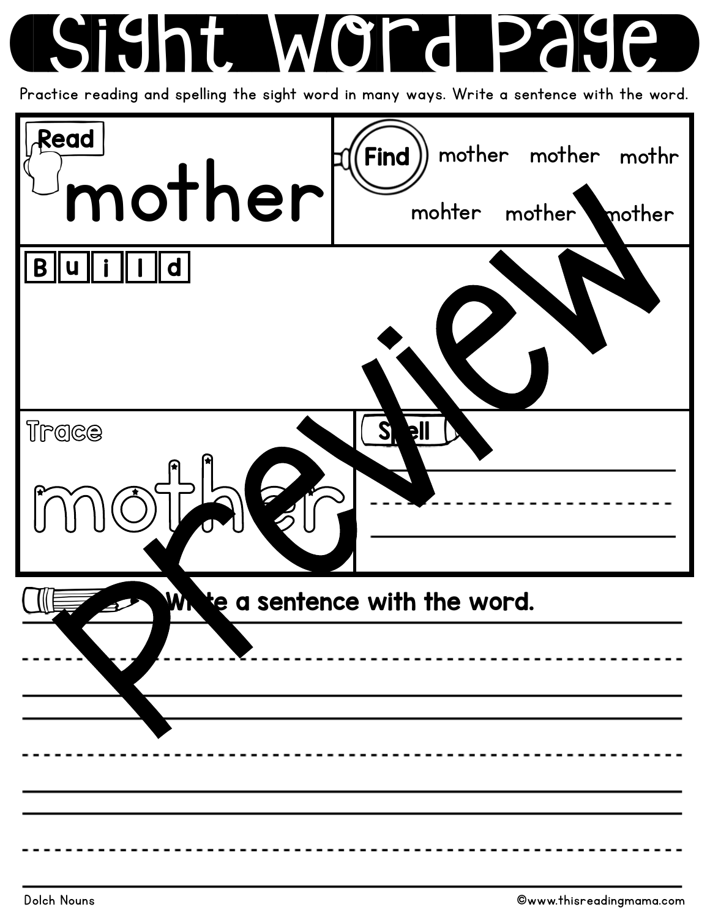| Read<br>mother | mother mother mothr<br>Find<br>mohter mother<br>mother |
|----------------|--------------------------------------------------------|
| ∥ d<br>B       |                                                        |
| Trace          | $S_{\mathbf{k}}$<br>ell                                |
|                | Write a sentence with the word.                        |
|                |                                                        |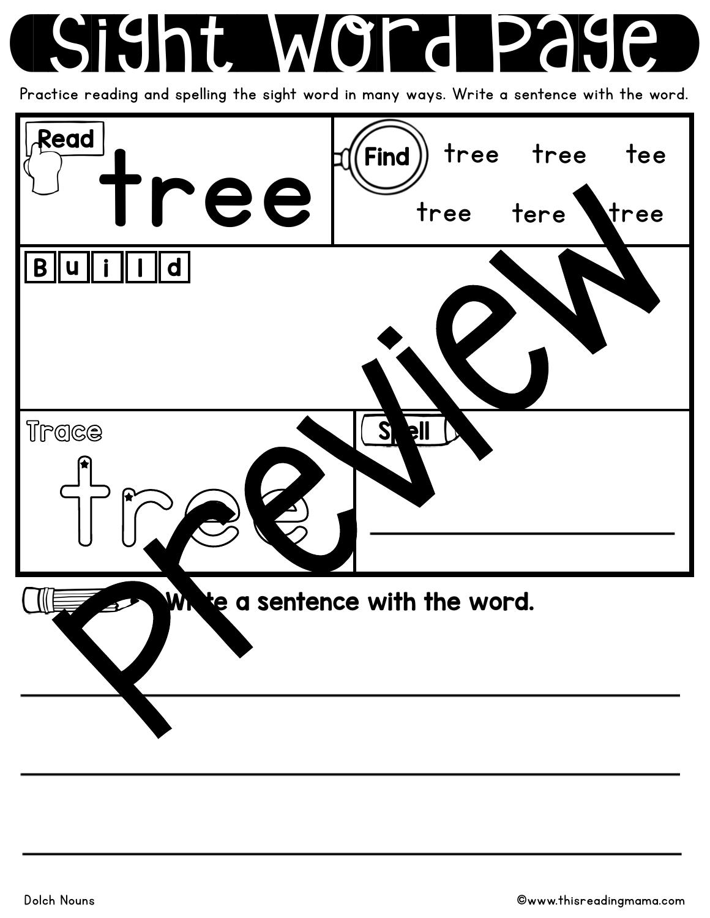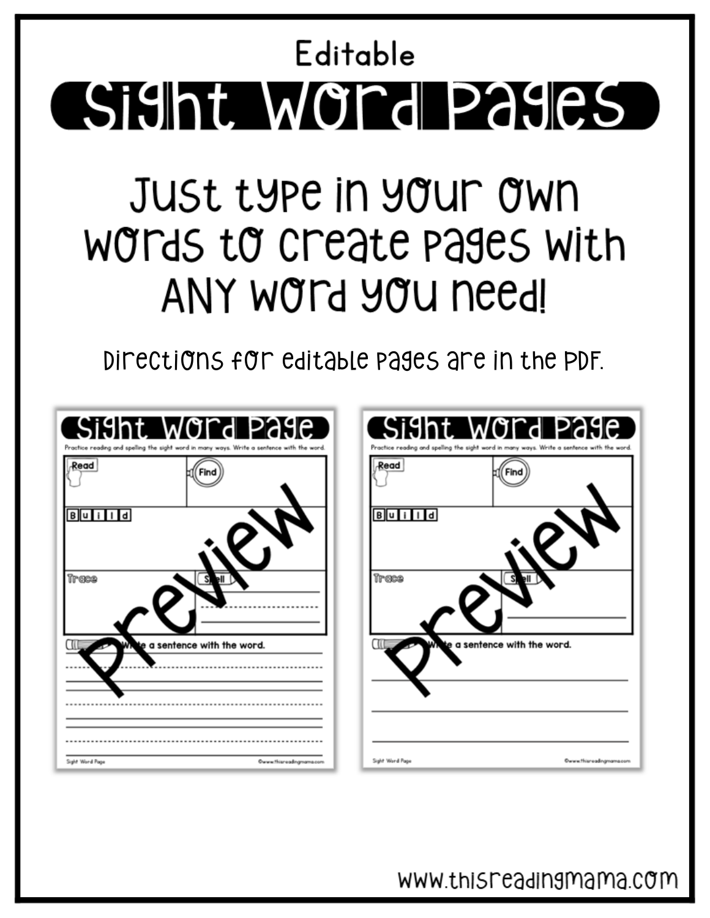#### Editable Sight Word Pages

#### JUSt tYPE IN YOUL OWN WOTds to create pages with ANY WOT YOU NEE A

Directions for editable pages are in the PDF.

| te a sentence with the word.<br>te a sentence with the word.                               | (Sight WOrd Page )<br>Practice reading and spelling the sight word in many ways. Write a sentence with the word.<br>Read<br>$B$ u<br>l d<br>Troce | (Sight Word Page)<br>Practice reading and spelling the sight word in many ways. Write a sentence with the word.<br>Read<br>$B$ uild<br>Troce |
|--------------------------------------------------------------------------------------------|---------------------------------------------------------------------------------------------------------------------------------------------------|----------------------------------------------------------------------------------------------------------------------------------------------|
| Sight Word Page<br>Owww.thisreadingmama.com<br>Sight Word Page<br>Owww.thisreadingmama.com |                                                                                                                                                   |                                                                                                                                              |